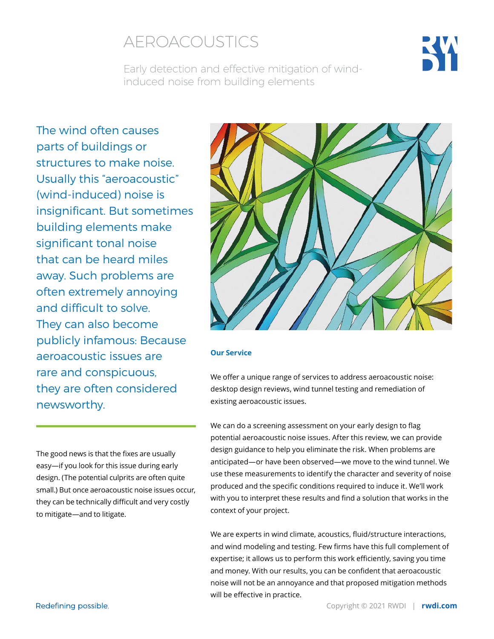## AEROACOUSTICS



Early detection and effective mitigation of windinduced noise from building elements

The wind often causes parts of buildings or structures to make noise. Usually this "aeroacoustic" (wind-induced) noise is insignificant. But sometimes building elements make significant tonal noise that can be heard miles away. Such problems are often extremely annoying and difficult to solve. They can also become publicly infamous: Because aeroacoustic issues are rare and conspicuous, they are often considered newsworthy.

The good news is that the fixes are usually easy—if you look for this issue during early design. (The potential culprits are often quite small.) But once aeroacoustic noise issues occur, they can be technically difficult and very costly to mitigate—and to litigate.



#### **Our Service**

We offer a unique range of services to address aeroacoustic noise: desktop design reviews, wind tunnel testing and remediation of existing aeroacoustic issues.

We can do a screening assessment on your early design to flag potential aeroacoustic noise issues. After this review, we can provide design guidance to help you eliminate the risk. When problems are anticipated—or have been observed—we move to the wind tunnel. We use these measurements to identify the character and severity of noise produced and the specific conditions required to induce it. We'll work with you to interpret these results and find a solution that works in the context of your project.

We are experts in wind climate, acoustics, fluid/structure interactions, and wind modeling and testing. Few firms have this full complement of expertise; it allows us to perform this work efficiently, saving you time and money. With our results, you can be confident that aeroacoustic noise will not be an annoyance and that proposed mitigation methods will be effective in practice.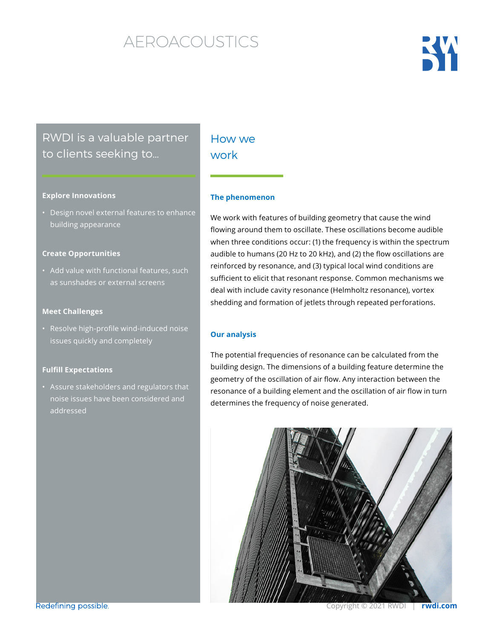# AEROACOUSTICS

# KW

## RWDI is a valuable partner to clients seeking to…

#### **Explore Innovations**

• Design novel external features to enhance building appearance

#### **Create Opportunities**

• Add value with functional features, such as sunshades or external screens

#### **Meet Challenges**

• Resolve high-profile wind-induced noise issues quickly and completely

#### **Fulfill Expectations**

• Assure stakeholders and regulators that noise issues have been considered and addressed

### HOW WA work

#### **The phenomenon**

We work with features of building geometry that cause the wind flowing around them to oscillate. These oscillations become audible when three conditions occur: (1) the frequency is within the spectrum audible to humans (20 Hz to 20 kHz), and (2) the flow oscillations are reinforced by resonance, and (3) typical local wind conditions are sufficient to elicit that resonant response. Common mechanisms we deal with include cavity resonance (Helmholtz resonance), vortex shedding and formation of jetlets through repeated perforations.

#### **Our analysis**

The potential frequencies of resonance can be calculated from the building design. The dimensions of a building feature determine the geometry of the oscillation of air flow. Any interaction between the resonance of a building element and the oscillation of air flow in turn determines the frequency of noise generated.



Redefining possible.